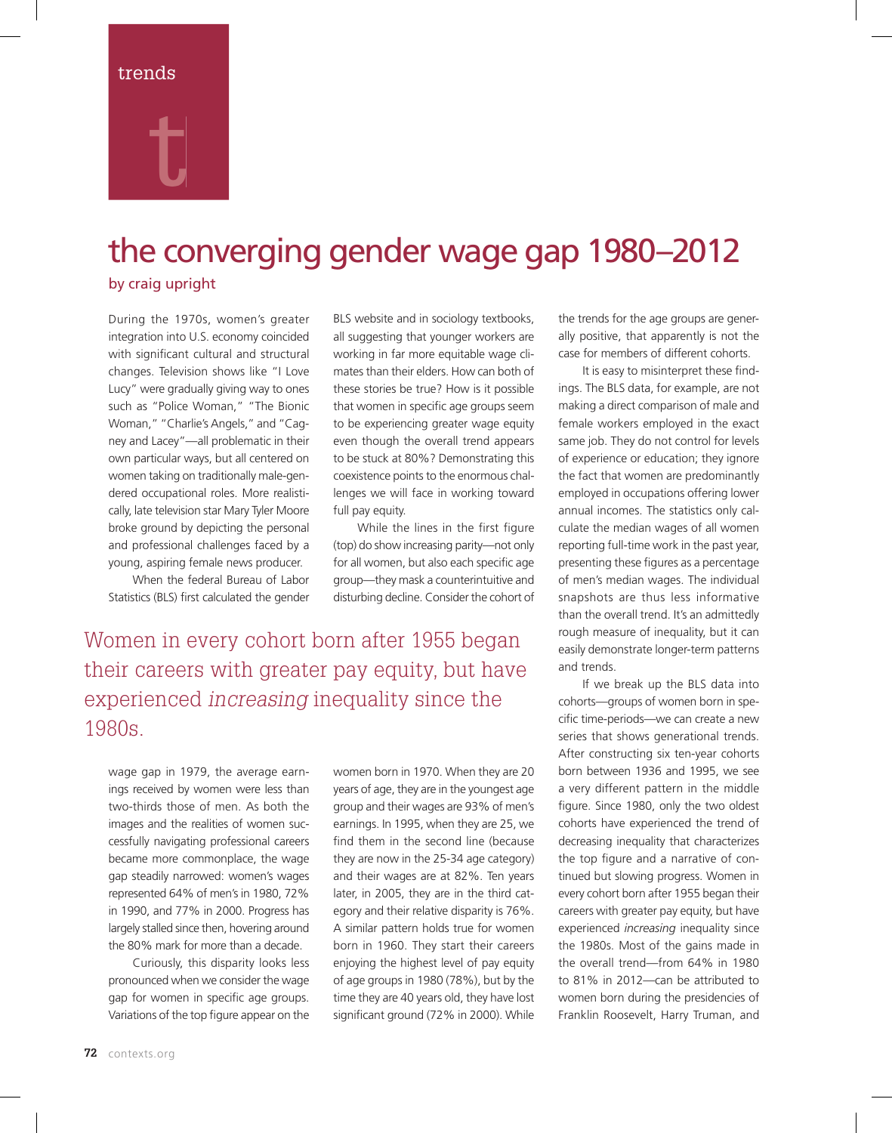## trends

# t

## the converging gender wage gap 1980–2012

## by craig upright

During the 1970s, women's greater integration into U.S. economy coincided with significant cultural and structural changes. Television shows like "I Love Lucy" were gradually giving way to ones such as "Police Woman," "The Bionic Woman," "Charlie's Angels," and "Cagney and Lacey"—all problematic in their own particular ways, but all centered on women taking on traditionally male-gendered occupational roles. More realistically, late television star Mary Tyler Moore broke ground by depicting the personal and professional challenges faced by a young, aspiring female news producer.

When the federal Bureau of Labor Statistics (BLS) first calculated the gender

BLS website and in sociology textbooks, all suggesting that younger workers are working in far more equitable wage climates than their elders. How can both of these stories be true? How is it possible that women in specific age groups seem to be experiencing greater wage equity even though the overall trend appears to be stuck at 80%? Demonstrating this coexistence points to the enormous challenges we will face in working toward full pay equity.

While the lines in the first figure (top) do show increasing parity—not only for all women, but also each specific age group—they mask a counterintuitive and disturbing decline. Consider the cohort of

Women in every cohort born after 1955 began their careers with greater pay equity, but have experienced increasing inequality since the 1980s.

wage gap in 1979, the average earnings received by women were less than two-thirds those of men. As both the images and the realities of women successfully navigating professional careers became more commonplace, the wage gap steadily narrowed: women's wages represented 64% of men's in 1980, 72% in 1990, and 77% in 2000. Progress has largely stalled since then, hovering around the 80% mark for more than a decade.

Curiously, this disparity looks less pronounced when we consider the wage gap for women in specific age groups. Variations of the top figure appear on the

women born in 1970. When they are 20 years of age, they are in the youngest age group and their wages are 93% of men's earnings. In 1995, when they are 25, we find them in the second line (because they are now in the 25-34 age category) and their wages are at 82%. Ten years later, in 2005, they are in the third category and their relative disparity is 76%. A similar pattern holds true for women born in 1960. They start their careers enjoying the highest level of pay equity of age groups in 1980 (78%), but by the time they are 40 years old, they have lost significant ground (72% in 2000). While

the trends for the age groups are generally positive, that apparently is not the case for members of different cohorts.

It is easy to misinterpret these findings. The BLS data, for example, are not making a direct comparison of male and female workers employed in the exact same job. They do not control for levels of experience or education; they ignore the fact that women are predominantly employed in occupations offering lower annual incomes. The statistics only calculate the median wages of all women reporting full-time work in the past year, presenting these figures as a percentage of men's median wages. The individual snapshots are thus less informative than the overall trend. It's an admittedly rough measure of inequality, but it can easily demonstrate longer-term patterns and trends.

If we break up the BLS data into cohorts—groups of women born in specific time-periods--we can create a new series that shows generational trends. After constructing six ten-year cohorts born between 1936 and 1995, we see a very different pattern in the middle figure. Since 1980, only the two oldest cohorts have experienced the trend of decreasing inequality that characterizes the top figure and a narrative of continued but slowing progress. Women in every cohort born after 1955 began their careers with greater pay equity, but have experienced *increasing* inequality since the 1980s. Most of the gains made in the overall trend—from 64% in 1980 to 81% in 2012—can be attributed to women born during the presidencies of Franklin Roosevelt, Harry Truman, and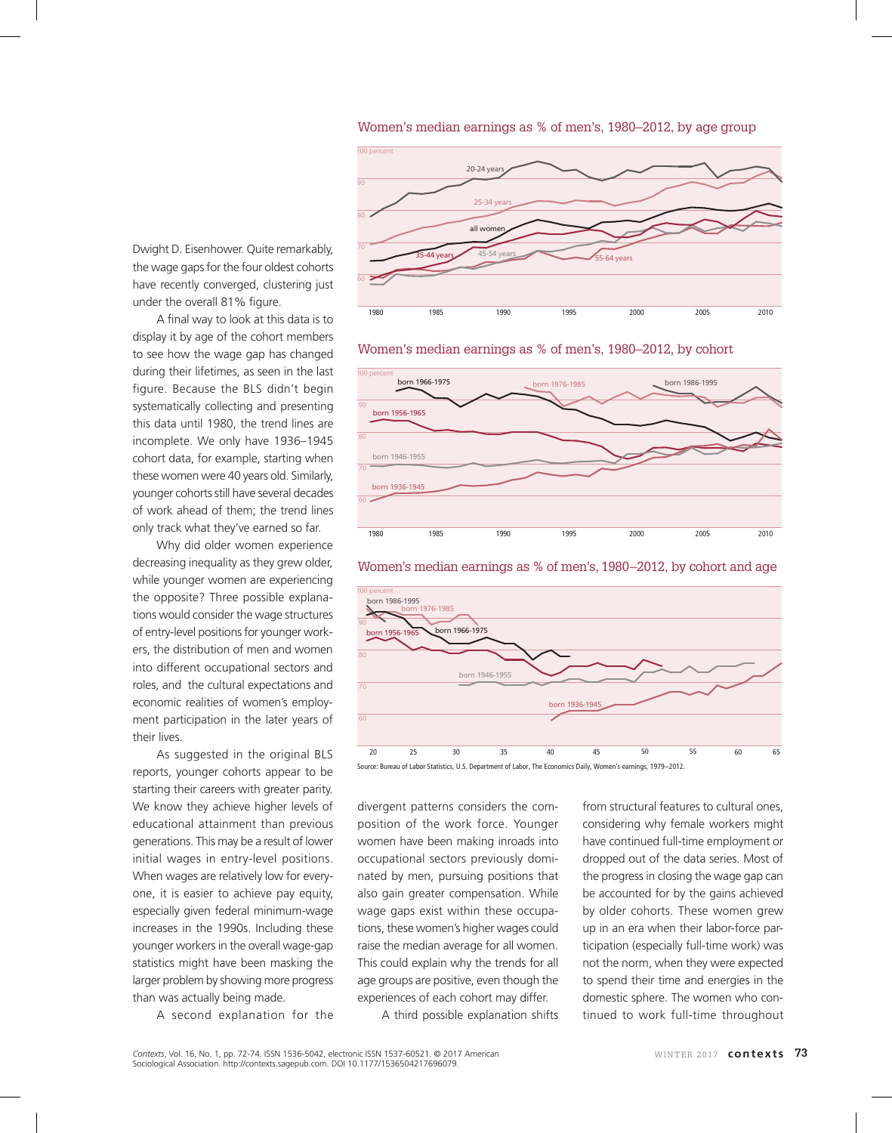Women's median earnings as % of men's, 1980–2012, by age group



Women's median earnings as % of men's, 1980–2012, by cohort



Women's median earnings as % of men's, 1980–2012, by cohort and age



Source: Bureau of Labor Statistics, U.S. Department of Labor, The Economics Daily, Women's earnings, 1979–2012.

divergent patterns considers the composition of the work force. Younger women have been making inroads into occupational sectors previously dominated by men, pursuing positions that also gain greater compensation. While wage gaps exist within these occupations, these women's higher wages could raise the median average for all women. This could explain why the trends for all age groups are positive, even though the experiences of each cohort may differ.

A third possible explanation shifts

from structural features to cultural ones, considering why female workers might have continued full-time employment or dropped out of the data series. Most of the progress in closing the wage gap can be accounted for by the gains achieved by older cohorts. These women grew up in an era when their labor-force participation (especially full-time work) was not the norm, when they were expected to spend their time and energies in the domestic sphere. The women who continued to work full-time throughout

Dwight D. Eisenhower. Quite remarkably, the wage gaps for the four oldest cohorts have recently converged, clustering just under the overall 81% figure.

A final way to look at this data is to display it by age of the cohort members to see how the wage gap has changed during their lifetimes, as seen in the last figure. Because the BLS didn't begin systematically collecting and presenting this data until 1980, the trend lines are incomplete. We only have 1936–1945 cohort data, for example, starting when these women were 40 years old. Similarly, younger cohorts still have several decades of work ahead of them; the trend lines only track what they've earned so far.

Why did older women experience decreasing inequality as they grew older, while younger women are experiencing the opposite? Three possible explanations would consider the wage structures of entry-level positions for younger workers, the distribution of men and women into different occupational sectors and roles, and the cultural expectations and economic realities of women's employment participation in the later years of their lives.

As suggested in the original BLS reports, younger cohorts appear to be starting their careers with greater parity. We know they achieve higher levels of educational attainment than previous generations. This may be a result of lower initial wages in entry-level positions. When wages are relatively low for everyone, it is easier to achieve pay equity, especially given federal minimum-wage increases in the 1990s. Including these younger workers in the overall wage-gap statistics might have been masking the larger problem by showing more progress than was actually being made.

A second explanation for the